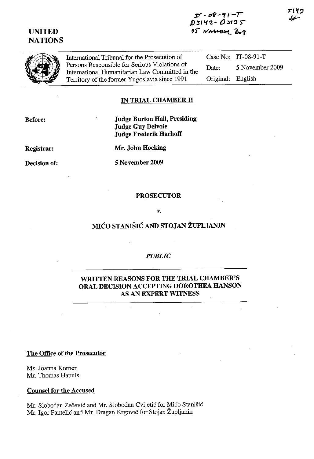# **UNITED NATIONS**

;r:r **- ()f? -** *'1'1* **-r 1):>1'1'3- OSI'3** ~ os Niverson 2009

International Tribunal for the Prosecution of Persons Responsible for Serious Violations of International Humanitarian Law Committed in the Territory of the former Yugoslavia since 1991

Case No: IT-08-91-T Date: 5 November 2009 Original: English

### **IN TRIAL CHAMBER IT**

**Before:** 

**Judge Burton Hall, Presiding Judge Guy Delvoie Judge Frederik Harhoff** 

**Registrar:** 

**Decision of:** 

**Mr. John Hocking** 

**5 November 2009** 

#### **PROSECUTOR**

#### *v.*

# **MICO STANISIC AND STOJAN ZUPLJANIN**

#### *PUBLIC*

## **WRITTEN REASONS FOR THE TRIAL CHAMBER'S ORAL DECISION ACCEPTING DOROTHEA HANSON AS AN EXPERT WITNESS**

### **The Office of the Prosecutor**

Ms. Joanna Korner Mr. Thomas Hannis

#### **Counsel for the Accused**

Mr. Slobodan Zecevic and Mr. Slobodan Cvijetic for Mico Stanisic Mr. Igor Pantelić and Mr. Dragan Krgović for Stojan Župljanin

5140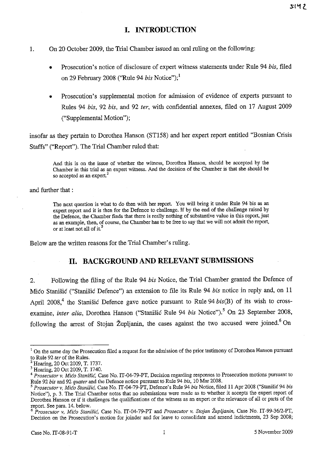# **I. INTRODUCTION**

- 1. On 20 October 2009, the Trial Chamber issued an oral ruling on the following:
	- Prosecution's notice of disclosure of expert witness statements under Rule 94 *bis,* filed on 29 February 2008 ("Rule 94 *bis* Notice");<sup>1</sup>
	- Prosecution's supplemental motion for admission of evidence of experts pursuant to Rules 94 *bis,* 92 *bis,* and 92 *ter,* with confidential annexes, filed on 17 August 2009 ("Supplemental Motion");

insofar as they pertain to Dorothea Hanson (ST158) and her expert report entitled "Bosnian Crisis Staffs" ("Report"). The Trial Chamber ruled that:

And this is on the issue of whether the wilness, Dorothea Hanson, should be accepted by the Chamber in this trial as an expert wilness. And the decision of the Chamber is that she should be so accepted as an expert.<sup>2</sup>

and further that :

The next question is what to do then with her report. You will bring it under Rule 94 bis as an expert report and it is then for the Defence to challenge. If by the end of the challenge raised by the Defence, the Chamber finds that there is really nothing of substantive value in this report, just as an example, then, of course, the Chamber has to be free to say that we will not admit the report, **or at least not all of it.<sup>3</sup>**

Below are the written reasons for the Trial Chamber's ruling.

# **11. BACKGROUND AND RELEVANT SUBMISSIONS**

2. Following the filing of the Rule 94 *bis* Notice, the Trial Chamber granted the Defence of Mico Stanisic ("Stanisic Defence") an extension to file its Rule 94 *bis* notice in reply and, on 11 April 2008<sup>4</sup>, the Stanišić Defence gave notice pursuant to Rule 94 *bis*(B) of its wish to crossexamine, *inter alia*, Dorothea Hanson ("Stanišić Rule 94 *bis* Notice").<sup>5</sup> On 23 September 2008, following the arrest of Stojan Župljanin, the cases against the two accused were joined.<sup>6</sup> On

<sup>&</sup>lt;sup>1</sup> On the same day the Prosecution filed a request for the admission of the prior testimony of Dorothea Hanson pursuant to Rule 92 *ter* of the Rules.

<sup>&</sup>lt;sup>2</sup> Hearing, 20 Oct 2009, T. 1737.

<sup>3</sup> Hearing, 20 Oct *2009,* T. 1740.

<sup>4</sup>*Prosecutor* v. *Mica Stanisic,* Case No. IT-04-79-PT, Decision regarding responses to Prosecution motions pursuant to Rule 92 *bis* and 92 *quater* and the Defence notice pursuant to Rule 94 *bis,* 10 Mar 2008.

*<sup>5</sup> Prosecutor* v, *Mica Stanisie,* Case No. IT-04-79-PT, Defence's Rule 94 *bis* Notice, filed 11 Apr 2008 ("Stanisic 94 *bis*  Notice"), p. 3. The Trial Chamber notes that no submissions were made as to whether it accepts the expert report of Dorothea Hanson or if it challenges the qualifications of the wilness as an expert or the relevance of all or parts of the report. See para. 14. below.

*<sup>6</sup> Prosecutor* v, *Mica Stanisie,* Case No. IT-04--79-PT and *Prosecutor* v. *Stojan Zupljanin,* Case No. IT-99-36/2-PT, Decision on the Prosecution's motion for joinder and for leave to consolidate and amend indictments, 23 Sep 2008;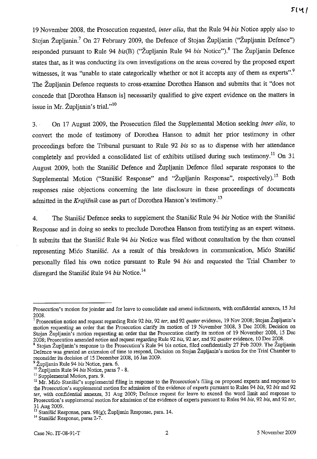19 November 2008, the Prosecution requested, *inter alia,* that the Rule 94 *bis* Notice apply also to Stojan Župljanin.<sup>7</sup> On 27 February 2009, the Defence of Stojan Župljanin ("Župljanin Defence") responded pursuant to Rule 94 *bis*(B) ("Župljanin Rule 94 *bis* Notice").<sup>8</sup> The Župljanin Defence states that, as it was conducting its own investigations on the areas covered by the proposed expert witnesses, it was "unable to state categorically whether or not it accepts any of them as experts".<sup>9</sup> The Zupljanin Defence requests to cross-examine Dorothea Hanson and submits that it "does not concede that [Dorothea Hanson is] necessarily qualified to give expert evidence on the matters in issue in Mr. Župljanin's trial."<sup>10</sup>

3. . On 17 August 2009, the Prosecution filed the Supplemental Motion seeking *inter alia,* to convert the mode of testimony of Dorothea Hanson to admit her prior testimony in other proceedings before the Tribunal pursuant to Rule 92 *bis* so as to dispense with her attendance completely and provided a consolidated list of exhibits utilised during such testimony.<sup>11</sup> On 31 August 2009, both the Stanisic Defence and Zupljanin Defence filed separate responses to the Supplemental Motion ("Stanišić Response" and "Župljanin Response", respectively).<sup>12</sup> Both responses raise objections concerning the late disclosure in these proceedings of documents admitted in the *Krajisnik* case as part of Dorothea Hanson's testimony.13

4. The Stanisic Defence seeks to supplement the Stanisic Rule 94 *bis* Notice with the Stanisic Response and in doing so seeks to preclude Dorothea Hanson from testifying as an expert witness. **It** submits that the Stanisic Rule 94 *bis* Notice was filed without consultation by the then counsel representing Mico Stanisic. As a result of this breakdown in communication, Mico Stanisic personally filed his own notice pursuant to Rule 94 *bis* and requested the Trial Chamber to disregard the Stanisic Rule 94 *bis* Notice. 14

14 Stanisic Response, paras 2-7.

Prosecution's motion for joinder and for leave to consolidate and amend indictments. with confidential annexes, 15 Jul 2008.

<sup>7</sup> Prosecution notice and request regarding Rule 92 *bis,* 92 *ter,* and 92 *quater* evidence, 19 Nov 2008; Stojan Zupljanin's motion requesting an order that the Prosecution clarify its motion of 19 November 2008, 3 Dec 2008; Decision on Stojan Župljanin's motion requesting an order that the Prosecution clarify its motion of 19 November 2008, 15 Dec 2008; Prosecution amended notice and request regarding Rule 92 *bis,* 92 *ter,* and 92 *quater* evidence, 10 Dec 2008.

<sup>&</sup>lt;sup>8</sup> Stojan Župljanin's response to the Prosecution's Rule 94 bis notice, filed confidentially 27 Feb 2009. The Zupljanin Defence was granted an extension of time to respond, Decision on Stojan Zupljanin's motion for the Trial Chamber to reconsider its decision of 15 December 2008,16 Jan 2009.

<sup>9</sup> Zupljanin Rule 94 *his* Notice, para. 6.

<sup>10</sup> Zupljanin Rule 94 *bis* Notice, paras 7 - 8.

<sup>&</sup>lt;sup>11</sup> Supplemental Motion, para. 9.

<sup>&</sup>lt;sup>12</sup> Mr. Mico Stanišic's supplemental filing in response to the Prosecution's filing on proposed experts and response to the Prosecution's supplemental motion for admission of the evidence of experts pursuant to Rules 94 *bis,* 92 *bis* and 92 *ter,* with confidential annexes, 31 Aug 2009; Defence request for leave to exceed the word limit and response to Prosecution's supplemental motion for admission of the evidence of experts pursuant to Rules 94 *bis,* 92 *bis,* and 92 *ter,*  31 Aug 2009.

<sup>&</sup>lt;sup>13</sup> Stanišić Response, para. 98(g); Župljanin Response, para. 14.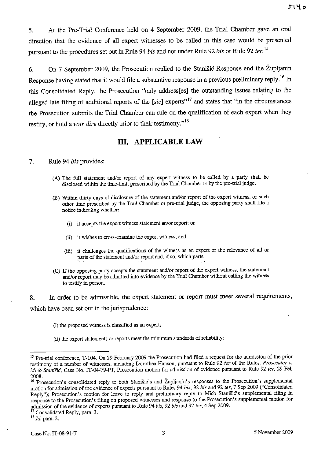5. At the Pre-Trial Conference held on 4 September 2009, the Trial Chamber gave an oral direction that the evidence of all expert witnesses to be called in this case would be presented pursuant to the procedures set out in Rule 94 *bis* and not under Rule 92 *bis* or Rule 92 *fer.* <sup>15</sup>

6. On 7 September 2009, the Prosecution replied to the Stanisic Response and the Zupljanin Response having stated that it would file a substantive response in a previous preliminary reply.<sup>16</sup> In this Consolidated Reply, the Prosecution "only address[es] the outstanding issues relating to the alleged late filing of additional reports of the *[sic]* experts"<sup>17</sup> and states that "in the circumstances the Prosecution submits the Trial Chamber can rule on the qualification of each expert when they testify, or hold a *voir dire* directly prior to their testimony."<sup>18</sup>

## **Ill. APPLICABLE LAW**

#### 7. Rule 94 *bis* provides:

- (A) The full statement andlor report of any expert witness to be called by a party shall be disclosed within the time-limit prescribed by the Trial Chamber or by the pre-trialjudge.
- (B) Within thirty days of disclosure of the statement andlor report of the expert witness, or such other time prescribed by the Trail Chamber or pre-trial judge, the opposing party shall file a notice indicating whether:
	- (i) it accepts the expert witness statement an/or report; or
	- (ii) it wishes to cross-examine the expert witness; and
	- (iii) it challenges the qualifications of the witness as an expert or the relevance of all or parts of the statement and/or report and, if so, which parts.
- (C) If the opposing party accepts the statement andlor report of the expert witness, the statement and/or report may be admitted into evidence by the Trial Chamber without calling the witness to testify in person.

8. In order to be admissible, the expert statement or report must meet several requirements, which have been set out in the jurisprudence:

(i) the proposed witness is classified as an expert;

<sup>(</sup>ii) the expert statements or reports meet the minimum standards of reliability;

<sup>&</sup>lt;sup>15</sup> Pre-trial conference, T-104. On 29 February 2009 the Prosecution had filed a request for the admission of the prior testimony of a number of witnesses, including Dorothea Hanson, pursuant to Rule 92 *ter* of the Rules. *Prosecutor* v. *Mica Stanisic,* Case No. IT-04-79-PT, Prosecution motion for admission of evidence pursuant to Rule 92 *ter,* 29 Feb 2008.

<sup>&</sup>lt;sup>16</sup> Prosecution's consolidated reply to both Stanišić's and Župljanin's responses to the Prosecution's supplemental motion for admission of the evidence of experts pursuant to Rules 94 *bis,* 92 *bis* and 92 *ter,* 7 Sep 2009 ("Consolidated Reply"); Prosecution's motion for leave to reply and preliminary reply to Mico Stanišic's supplemental filing in response to the Prosecution's filing on proposed witnesses and response to the Prosecution's supplemental motion for admission of the evidence of experts pursuant to Rule 94 *his,* 92 *bis* and 92 *ter,* 4 Sep 2009.

<sup>&</sup>lt;sup>17</sup> Consolidated Reply, para. 3.

<sup>&</sup>lt;sup>18</sup> *Id*, para. 2.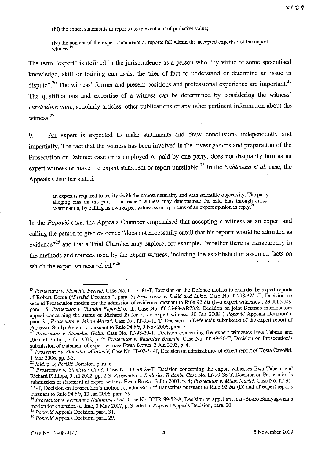(iii) the expert statements or reports are relevant and of probative value;

(iv) the content of the expert statements or reports fall within the accepted expertise of the expert witness.<sup>19</sup>

The term "expert" is defined in the jurisprudence as a person who "by virtue of some specialised knowledge, skill or training can assist the trier of fact to tmderstand or determine an issue in dispute".<sup>20</sup> The witness' former and present positions and professional experience are important.<sup>21</sup> The qualifications and expertise of a witness can be determined by considering the witness' *curriculum vitae,* scholarly articles, other publications or any other pertinent information about the witness. $22$ 

9. An expert is expected to make statements and draw conclusions independently and impartially. The fact that the witness has been involved in the investigations and preparation of the Prosecution or Defence case or is employed or paid by one party, does not disqualify him as an expert witness or make the expert statement or report unreliable.<sup>23</sup> In the *Nahimana et al.* case, the Appeals Chamber stated:

an expert is required to testify zwith the utmost neutrality and with scientific objectivity. The party alleging bias on the part of an expert witness may demonstrate the said bias through crossexamination, by calling its own expert witnesses or by means of an expert opinion in reply.<sup>2</sup>

In the *Popovic* case, the Appeals Chamber emphasised that accepting a witness as an expert and calling the person to give evidence "does not necessarily entail that his reports would be admitted as evidence<sup>35</sup> and that a Trial Chamber may explore, for example, "whether there is transparency in the methods and sources used by the expert witness, including the established or assumed facts on which the expert witness relied. $^{26}$ 

<sup>&</sup>lt;sup>19</sup> Prosecutor v. Momčilo Perišić, Case No. IT-04-81-T, Decision on the Defence motion to exclude the expert reports of Robert Donia *("Perisie* Decision"), para. 5; *Prosecutor* v. *Lukie and Lukic,* Case No. IT-9S-32/l-T, Decision on second Prosecution motion for the admission of evidence pursuant to Rule 92 *bis* (two expert witnesses), 23 Jul 200S, para. 15; *Prosecutor* v. *Vujadin Popovie* et al., Case No. IT-05-SS-AR73.2, Decision on joint Defence interlocutory appeal concerning the status of Richard Butler as an expert witness, 30 Jan 200S *("Popovic* Appeals Decision"), para. 21; *Prosecutor v. Milan Martic,* Case No. IT-95-11-T, Decision on Defence's submission of the expert report of Professor Sruilja Avrarnov pursuant to Rule 94 *bis,* 9 Nov 2006, para. 5.

*<sup>20</sup> Prosecutor v. Stanislav Galie,* Case No. IT-9S-29-T, Decision concerning the expert witnesses Ewa Tabeau and Richard Philips, 3 Jul 2002, p. 2; *Prosecutor* v. *Radoslav Brdanin,* Case No. IT-99-36-T, Decision on Prosecution's submission of statement of expert witness Ewan Brown, 3 Jun 2003, p. 4.

<sup>21</sup>*Prosecutor v. Slobodan Milosevie,* Case No. IT-02-54-T, Decision on admissibility of expert report of Kosta Cavoski, 1 Mar 2006, pp. 2-3.

*<sup>22</sup> Ibid.* p. 3; *Perisie* Decision, para. 6.

*<sup>23</sup> Prosecutor* v. *Stanislav Galic,* Case No. IT-9S-29-T, Decision concerning the expert witnesses Ewa Tabeau and Richard PhiJipps, 3 Ju12002, pp. 2-3; *Prosecutor v. Radoslav Brdanin,* Case No. IT-99-36-T, Decision on Prosecution's submission of statement of expert witness Ewan Brown, 3 Jun 2003, p. 4; *Prosecutor* v. *Milan Martic,* Case No. IT-95 ll-T, Decision on Prosecution's motion for admission of transcripts pursuant to Rule 92 *bis* (D) and of expert reports pursuant to Rule 94 *bis*, 13 Jan 2006, para. 39.

*Prosecutor v. Ferdinand Nahimina et aI.,* Case No. ICTR-99-52-A, Decision on appellant Jean-Bosco Barayagwiza's motion for extension of time, 3 May 2007, p. 3, cited in *Popovie* Appeals Decision, para. 20.

<sup>2</sup>S *Popovie* Appeals Decision, para. 31.

*<sup>26</sup> Popovie* Appeals Decision, para. 29.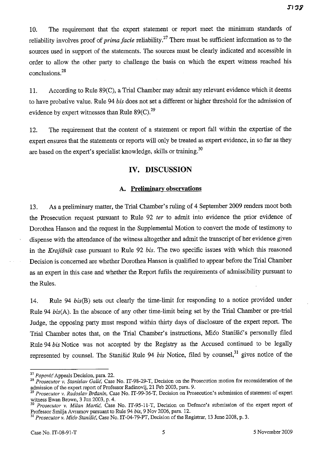10. The requirement that the expert statement or report meet the minimum standards of reliability involves proof of *prima facie* reliability.<sup>27</sup> There must be sufficient information as to the sources used in support of the statements. The sources must be clearly indicated and accessible in order to allow the other party to challenge the basis on which the expert witness reached his conclusions.<sup>28</sup>

11. According to Rule 89(C), a Trial Chamber may admit any relevant evidence which it deems to have probative value. Rule 94 *his* does not set a different or higher threshold for the admission of evidence by expert witnesses than Rule  $89(C)$ .<sup>29</sup>

12. The requirement that the content of a statement or report fall within the expertise of the expert ensures that the statements or reports will only be treated as expert evidence, in so far as they are based on the expert's specialist knowledge, skills or training.<sup>30</sup>

# **IV. DISCUSSION**

## A. **Preliminary observations**

13. As a preliminary matter, the Trial Chamber's ruling of 4 September 2009 renders moot both the Prosecution request pursuant to Rule 92 *ter* to admit into evidence the prior evidence of Dorothea Hanson and the request in the Supplemental Motion to convert the mode of testimony to dispense with the attendance of the witness altogether and admit the transcript of her evidence given in the *Krajisnik* case pursuant to Rule 92 *his.* The two specific issues with which this reasoned Decision is concerned are whether Dorothea Hanson is qualified to appear before the Trial Chamber as an expert in this case and whether the Report fufils the requirements of admissibility pursuant to the Rules.

14. Rule 94 *his(B)* sets out clearly the time-limit for responding to a notice provided under Rule 94 *his(A).* In the absence of any other time-limit being set by the Trial Chamber or pre-trial Judge, the opposing party must respond within thirty days of disclosure of the expert report. The Trial Chamber notes that, on the Trial Chamber's instructions, Mico Stanišic's personally filed Rule 94 *his* Notice was not accepted by the Registry as the Accused continued to be legally represented by counsel. The Stanišić Rule 94 *bis* Notice, filed by counsel,<sup>31</sup> gives notice of the

<sup>27</sup>*Popovic* Appeals Decision, para. 22.

<sup>&</sup>lt;sup>28</sup> Prosecutor *v. Stanislav Galić*, Case No. IT-98-29-T, Decision on the Prosecution motion for reconsideration of the admission of the expert report of Professor Radinovij, 21 Feb 2003, para. 9.

*<sup>29</sup> Prosecutor* v. *Radoslav Brdanin,* Case No. IT-99-36-T, Decision on Prosecution's submission of statement of expert wituess Ewan Brown, 3 Jun 2003, p. 4.

<sup>30</sup>*Prosecutor* v. *Milan Martic,* Case No. IT-95-11-T, Decision on Defence's submission of the expert report of Professor Smilja Avramov pursuant to Rule 94 *his,* 9 Nov 2006, para. 12.

<sup>31</sup>*Prosecutor* v. *Mica Stanisic,* Case No. IT-04-79-PT, Decision of the Registrar, 13 June 2008, p. 3.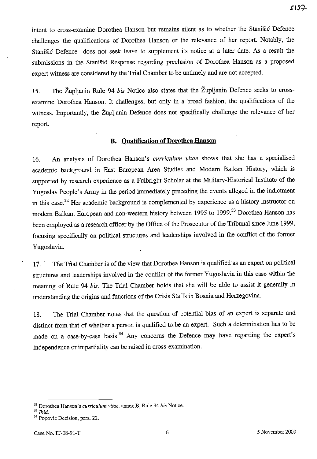intent to cross-examine Dorothea Hanson but remains silent as to whether the Stanisic Defence challenges the qualifications of Dorothea Hanson or the relevance of her report. Notably, the Stanisic Defence does not seek leave to supplement its notice at a later date. As a result the submissions in the Stanisic Response regarding preclusion of Dorothea Hanson as a proposed expert witness are considered by the Trial Chamber to be untimely and are not accepted.

15. The Zupljanin Rule 94 *bis* Notice also states that the Zupljanin Defence seeks to crossexamine Dorothea Hanson. It challenges, but only in a broad fashion, the qualifications of the witness. Importantly, the Župljanin Defence does not specifically challenge the relevance of her report.

### **B. Qualification of Dorothea Hanson**

16. An analysis of Dorothea Hanson's *curriculum vitae* shows that she has a specialised academic background in East European Area Studies and Modem Balkan History, which is supported by research experience as a Fulbright Scholar at the Military-Historical Institute of the Yugoslav People's Army in the period immediately preceding the events alleged in the indictment in this case.<sup>32</sup> Her academic background is complemented by experience as a history instructor on modern Balkan, European and non-western history between 1995 to 1999.<sup>33</sup> Dorothea Hanson has been employed as a research officer by the Office of the Prosecutor of the Tribunal since June 1999, focusing specifically on political structures and leaderships involved in the conflict of the former Yugoslavia.

17. The Trial Chamber is of the view that Dorothea Hanson is qualified as an expert on political structures and leaderships involved in the conflict of the former Yugoslavia in this case within the meaning of Rule 94 *bis.* The Trial Chamber holds that she will be able to assist it generally in understanding the origins and functions of the Crisis Staffs in Bosnia and Herzegovina.

18. The Trial Chamber notes that the question of potential bias of an expert is separate and distinct from that of whether a person is qualified to be an expert. Such a determination has to be made on a case-by-case basis.<sup>34</sup> Any concerns the Defence may have regarding the expert's independence or impartiality can be raised in cross-examination.

**<sup>32</sup> Dorothea Hanson's** *curriculum vitae,* **annex B, Rule 94** *his* **Notice.** 

<sup>33</sup>*Ibid.* 

<sup>&</sup>lt;sup>34</sup> Popovic Decision, para. 22.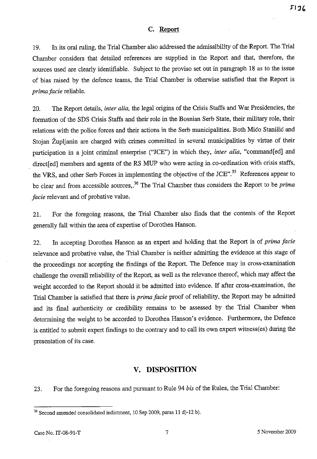## **C. Report**

19. In its oral ruling, the Trial Chamber also addressed the admissibility of the Report. The Trial Chamber considers that detailed references are supplied in the Report and that, therefore, the sources used are clearly identifiable. Subject to the proviso set out in paragraph 18 as to the issue of bias raised by the defence teams, the Trial Chamber is otherwise satisfied that the Report is *prima facie* reliable.

20. The Report details, *inter alia,* the legal origins of the Crisis Staffs and War Presidencies, the formation of the SDS Crisis Staffs and their role in the Bosnian Serb State, their military role, their relations with the police forces and their actions in the Serb municipalities. Both Mico Stanisic and Stojan Župljanin are charged with crimes committed in several municipalities by virtue of their participation in a joint criminal enterprise ("JCE") in which they, *inter alia*, "command [ed] and direct[ed] members and agents of the RS MUP who were acting in co-ordination with crisis staffs, the VRS, and other Serb Forces in implementing the objective of the JCE".<sup>35</sup> References appear to be clear and from accessible sources,. 36 The Trial Chamber thus considers the Report to be *prima facie* relevant and of probative value.

21. For the foregoing reasons, the Trial Chamber also finds that the contents of the Report generally fall within the area of expertise of Dorothea Hanson.

22. In accepting Dorothea Hanson as an expert and holding that the Report is of *prima facie*  relevance and probative value, the Trial Chamber is neither admitting the evidence at this stage of the proceedings nor accepting the findings of the Report. The Defence may in cross-examination challenge the overall reliability of the Report, as well as the relevance thereof, which may affect the weight accorded to the Report should it be admitted into evidence. If after cross-examination, the Trial Chamber is satisfied that there is *prima facie* proof of reliability, the Report may be admitted and its final authenticity or credibility remains to be assessed by the Trial Chamber when determining the weight to be accorded to Dorothea Hanson's evidence. Furthermore, the Defence is entitled to submit expert findings to the contrary and to call its own expert witness(es) during the presentation of its case.

## **V. DISPOSITION**

23. For the foregoing reasons and pursuant to Rule 94 *bis* of the Rules, the Trial Chamber:

<sup>&</sup>lt;sup>35</sup> Second amended consolidated indictment, 10 Sep 2009, paras 11 d)-12 b).